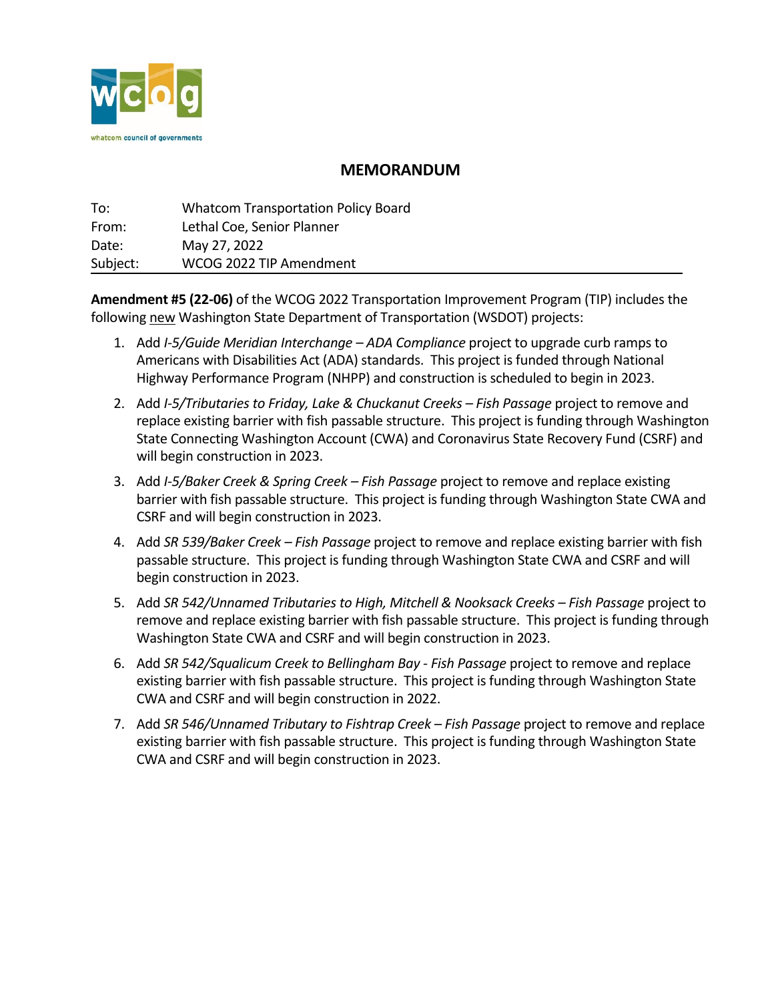

## **MEMORANDUM**

| To:      | <b>Whatcom Transportation Policy Board</b> |
|----------|--------------------------------------------|
| From:    | Lethal Coe, Senior Planner                 |
| Date:    | May 27, 2022                               |
| Subject: | WCOG 2022 TIP Amendment                    |

**Amendment #5 (22-06)** of the WCOG 2022 Transportation Improvement Program (TIP) includes the following new Washington State Department of Transportation (WSDOT) projects:

- 1. Add *I-5/Guide Meridian Interchange ADA Compliance* project to upgrade curb ramps to Americans with Disabilities Act (ADA) standards. This project is funded through National Highway Performance Program (NHPP) and construction is scheduled to begin in 2023.
- 2. Add *I-5/Tributaries to Friday, Lake & Chuckanut Creeks Fish Passage* project to remove and replace existing barrier with fish passable structure. This project is funding through Washington State Connecting Washington Account (CWA) and Coronavirus State Recovery Fund (CSRF) and will begin construction in 2023.
- 3. Add *I-5/Baker Creek & Spring Creek Fish Passage* project to remove and replace existing barrier with fish passable structure. This project is funding through Washington State CWA and CSRF and will begin construction in 2023.
- 4. Add *SR 539/Baker Creek Fish Passage* project to remove and replace existing barrier with fish passable structure. This project is funding through Washington State CWA and CSRF and will begin construction in 2023.
- 5. Add *SR 542/Unnamed Tributaries to High, Mitchell & Nooksack Creeks Fish Passage* project to remove and replace existing barrier with fish passable structure. This project is funding through Washington State CWA and CSRF and will begin construction in 2023.
- 6. Add *SR 542/Squalicum Creek to Bellingham Bay Fish Passage* project to remove and replace existing barrier with fish passable structure. This project is funding through Washington State CWA and CSRF and will begin construction in 2022.
- 7. Add *SR 546/Unnamed Tributary to Fishtrap Creek Fish Passage* project to remove and replace existing barrier with fish passable structure. This project is funding through Washington State CWA and CSRF and will begin construction in 2023.